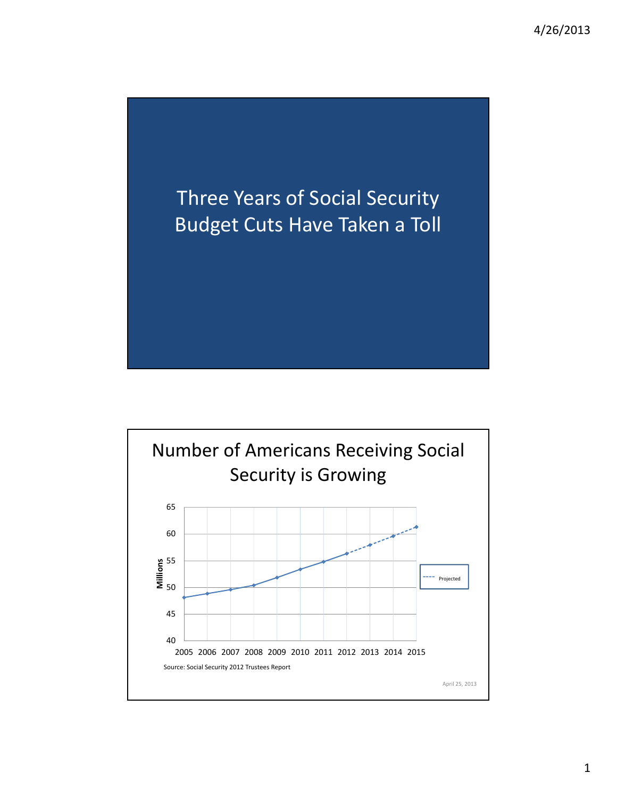

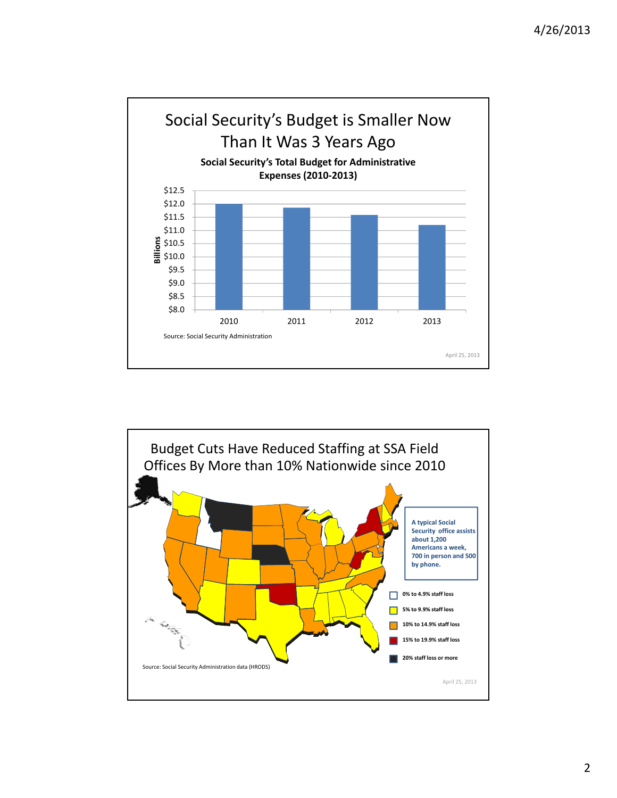

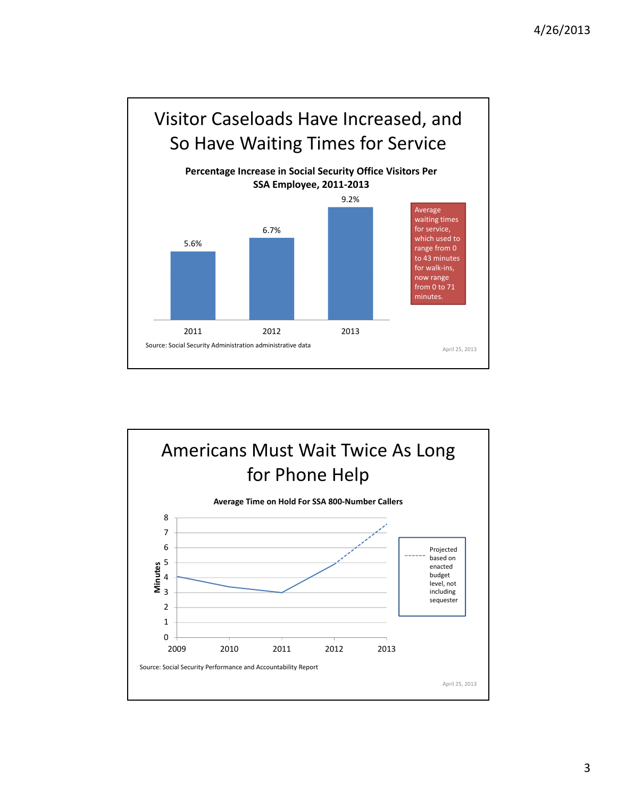

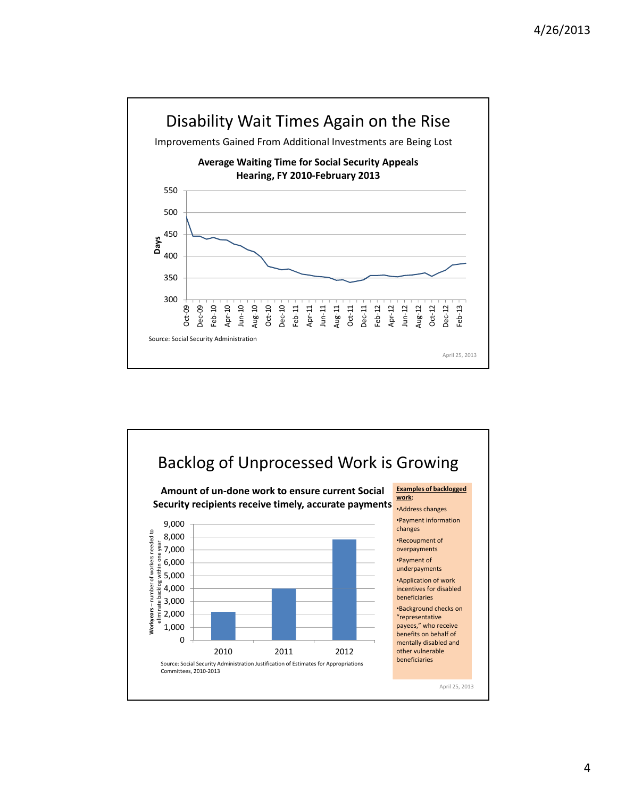